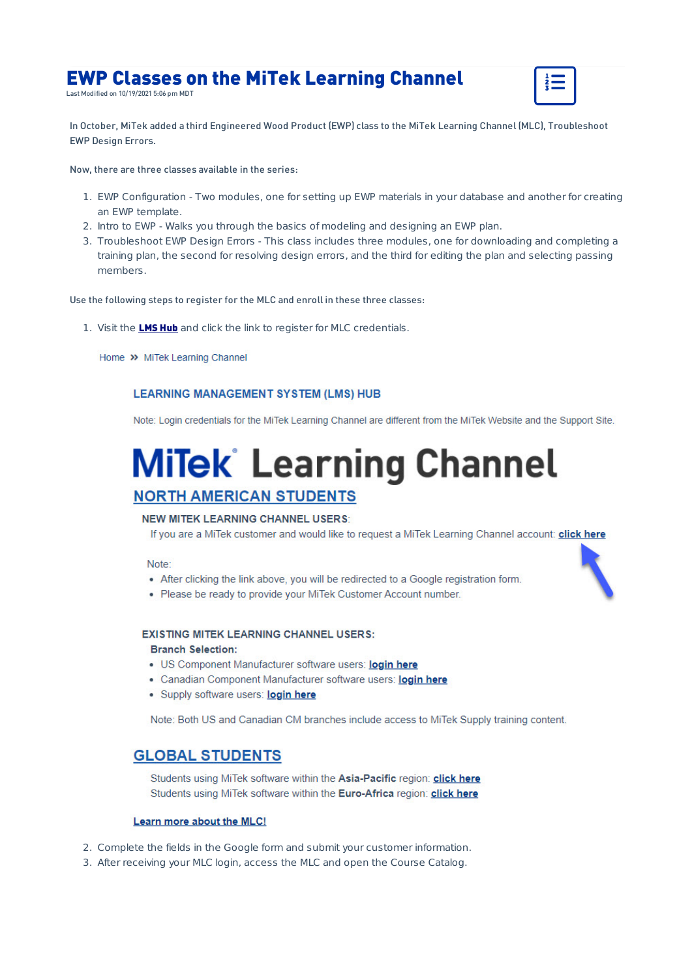## EWP Classes on the MiTek Learning Channel

Last Modified on 10/19/2021 5:06 pm MDT



In October, MiTek added a third Engineered Wood Product (EWP) class to the MiTek Learning Channel (MLC), Troubleshoot EWP Design Errors.

Now, there are three classes available in the series:

- 1. EWP Configuration Two modules, one for setting up EWP materials in your database and another for creating an EWP template.
- 2. Intro to EWP Walks you through the basics of modeling and designing an EWP plan.
- 3. Troubleshoot EWP Design Errors This class includes three modules, one for downloading and completing a training plan, the second for resolving design errors, and the third for editing the plan and selecting passing members.

Use the following steps to register for the MLC and enroll in these three classes:

1. Visit the **LMS Hub** and click the link to register for MLC credentials.

Home >> MiTek Learning Channel

#### **LEARNING MANAGEMENT SYSTEM (LMS) HUB**

Note: Login credentials for the MiTek Learning Channel are different from the MiTek Website and the Support Site.

# **MiTek Learning Channel NORTH AMERICAN STUDENTS**

#### **NEW MITEK LEARNING CHANNEL USERS:**

If you are a MiTek customer and would like to request a MiTek Learning Channel account: click here

Note:

- After clicking the link above, you will be redirected to a Google registration form.
- . Please be ready to provide your MiTek Customer Account number.

#### **EXISTING MITEK LEARNING CHANNEL USERS:**

#### **Branch Selection:**

- US Component Manufacturer software users: login here
- Canadian Component Manufacturer software users: login here
- · Supply software users: login here

Note: Both US and Canadian CM branches include access to MiTek Supply training content.

### **GLOBAL STUDENTS**

Students using MiTek software within the Asia-Pacific region: click here Students using MiTek software within the Euro-Africa region: click here

#### Learn more about the MLC!

- 2. Complete the fields in the Google form and submit your customer information.
- 3. After receiving your MLC login, access the MLC and open the Course Catalog.